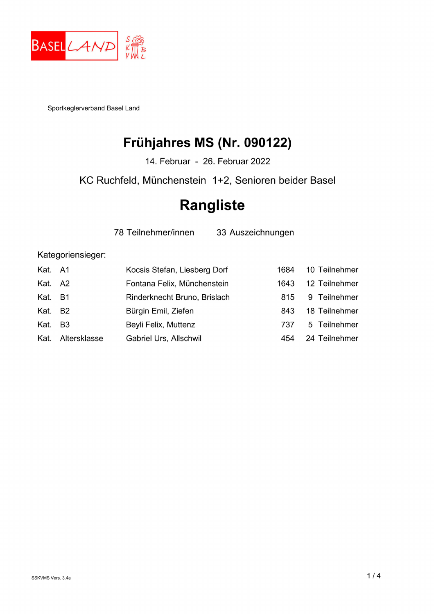

Sportkeglerverband Basel Land

## Frühjahres MS (Nr. 090122)

14. Februar - 26. Februar 2022

KC Ruchfeld, Münchenstein 1+2, Senioren beider Basel

## **Rangliste**

78 Teilnehmer/innen

33 Auszeichnungen

Kategoriensieger:

| Kat. A1 |                   | Kocsis Stefan, Liesberg Dorf | 1684 | 10 Teilnehmer |
|---------|-------------------|------------------------------|------|---------------|
| Kat. A2 |                   | Fontana Felix, Münchenstein  | 1643 | 12 Teilnehmer |
| Kat. B1 |                   | Rinderknecht Bruno, Brislach | 815  | 9 Teilnehmer  |
| Kat. B2 |                   | Bürgin Emil, Ziefen          | 843  | 18 Teilnehmer |
| Kat. B3 |                   | Beyli Felix, Muttenz         | 737  | 5 Teilnehmer  |
|         | Kat. Altersklasse | Gabriel Urs, Allschwil       | 454  | 24 Teilnehmer |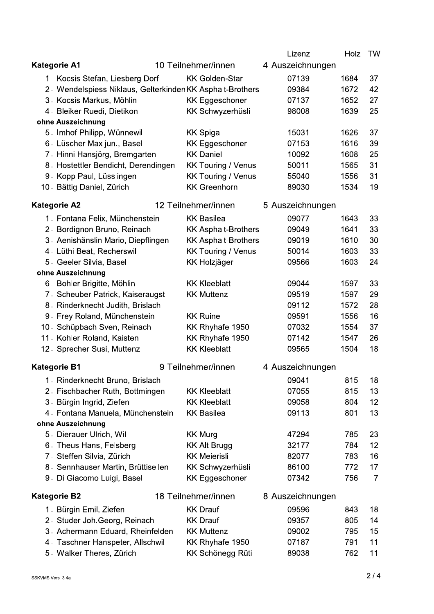|                                                           |  |                            | Lizenz           | Holz | TW             |
|-----------------------------------------------------------|--|----------------------------|------------------|------|----------------|
| <b>Kategorie A1</b>                                       |  | 10 Teilnehmer/innen        | 4 Auszeichnungen |      |                |
| 1 Kocsis Stefan, Liesberg Dorf                            |  | <b>KK Golden-Star</b>      | 07139            | 1684 | 37             |
| 2. Wendelspiess Niklaus, Gelterkinden KK Asphalt-Brothers |  |                            | 09384            | 1672 | 42             |
| 3. Kocsis Markus, Möhlin                                  |  | <b>KK Eggeschoner</b>      | 07137            | 1652 | 27             |
| 4. Bleiker Ruedi, Dietikon                                |  | KK Schwyzerhüsli           | 98008            | 1639 | 25             |
| ohne Auszeichnung                                         |  |                            |                  |      |                |
| 5. Imhof Philipp, Wünnewil                                |  | <b>KK Spiga</b>            | 15031            | 1626 | 37             |
| 6. Lüscher Max jun., Basel                                |  | <b>KK Eggeschoner</b>      | 07153            | 1616 | 39             |
| 7. Hinni Hansjörg, Bremgarten                             |  | <b>KK Daniel</b>           | 10092            | 1608 | 25             |
| 8. Hostettler Bendicht, Derendingen                       |  | <b>KK Touring / Venus</b>  | 50011            | 1565 | 31             |
| 9. Kopp Paul, Lüsslingen                                  |  | <b>KK Touring / Venus</b>  | 55040            | 1556 | 31             |
| 10. Bättig Daniel, Zürich                                 |  | <b>KK Greenhorn</b>        | 89030            | 1534 | 19             |
| <b>Kategorie A2</b>                                       |  | 12 Teilnehmer/innen        | 5 Auszeichnungen |      |                |
| 1. Fontana Felix, Münchenstein                            |  | <b>KK Basilea</b>          | 09077            | 1643 | 33             |
| 2. Bordignon Bruno, Reinach                               |  | <b>KK Asphalt-Brothers</b> | 09049            | 1641 | 33             |
| 3. Aenishänslin Mario, Diepflingen                        |  | <b>KK Asphalt-Brothers</b> | 09019            | 1610 | 30             |
| 4. Lüthi Beat, Recherswil                                 |  | <b>KK Touring / Venus</b>  | 50014            | 1603 | 33             |
| 5. Geeler Silvia, Basel                                   |  | <b>KK Holzjäger</b>        | 09566            | 1603 | 24             |
| ohne Auszeichnung                                         |  |                            |                  |      |                |
| 6. Bohler Brigitte, Möhlin                                |  | <b>KK Kleeblatt</b>        | 09044            | 1597 | 33             |
| 7. Scheuber Patrick, Kaiseraugst                          |  | <b>KK Muttenz</b>          | 09519            | 1597 | 29             |
| 8. Rinderknecht Judith, Brislach                          |  |                            | 09112            | 1572 | 28             |
| 9. Frey Roland, Münchenstein                              |  | <b>KK Ruine</b>            | 09591            | 1556 | 16             |
| 10. Schüpbach Sven, Reinach                               |  | KK Rhyhafe 1950            | 07032            | 1554 | 37             |
| 11. Kohler Roland, Kaisten                                |  | KK Rhyhafe 1950            | 07142            | 1547 | 26             |
| 12. Sprecher Susi, Muttenz                                |  | <b>KK Kleeblatt</b>        | 09565            | 1504 | 18             |
| <b>Kategorie B1</b>                                       |  | 9 Teilnehmer/innen         | 4 Auszeichnungen |      |                |
| 1. Rinderknecht Bruno, Brislach                           |  |                            | 09041            | 815  | 18             |
| 2. Fischbacher Ruth, Bottmingen                           |  | <b>KK Kleeblatt</b>        | 07055            | 815  | 13             |
| 3. Bürgin Ingrid, Ziefen                                  |  | <b>KK Kleeblatt</b>        | 09058            | 804  | 12             |
| 4. Fontana Manuela, Münchenstein                          |  | <b>KK Basilea</b>          | 09113            | 801  | 13             |
| ohne Auszeichnung                                         |  |                            |                  |      |                |
| 5. Dierauer Ulrich, Wil                                   |  | <b>KK Murg</b>             | 47294            | 785  | 23             |
| 6. Theus Hans, Felsberg                                   |  | <b>KK Alt Brugg</b>        | 32177            | 784  | 12             |
| 7. Steffen Silvia, Zürich                                 |  | <b>KK Meierisli</b>        | 82077            | 783  | 16             |
| 8. Sennhauser Martin, Brüttisellen                        |  | KK Schwyzerhüsli           | 86100            | 772  | 17             |
| 9. Di Giacomo Luigi, Basel                                |  | <b>KK Eggeschoner</b>      | 07342            | 756  | $\overline{7}$ |
| <b>Kategorie B2</b>                                       |  | 18 Teilnehmer/innen        | 8 Auszeichnungen |      |                |
| 1. Bürgin Emil, Ziefen                                    |  | <b>KK Drauf</b>            | 09596            | 843  | 18             |
| 2. Studer Joh. Georg, Reinach                             |  | <b>KK Drauf</b>            | 09357            | 805  | 14             |
| 3. Achermann Eduard, Rheinfelden                          |  | <b>KK Muttenz</b>          | 09002            | 795  | 15             |
| 4. Taschner Hanspeter, Allschwil                          |  | KK Rhyhafe 1950            | 07187            | 791  | 11             |
| 5. Walker Theres, Zürich                                  |  | KK Schönegg Rüti           | 89038            | 762  | 11             |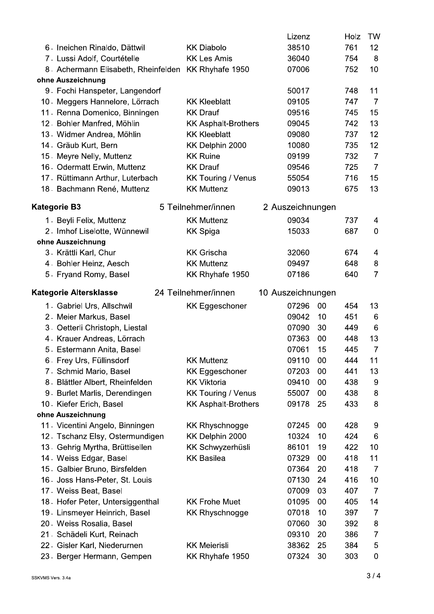|                                                     |                            | Lizenz            |    | Holz | TW             |
|-----------------------------------------------------|----------------------------|-------------------|----|------|----------------|
| 6. Ineichen Rinaldo, Dättwil                        | <b>KK Diabolo</b>          | 38510             |    | 761  | 12             |
| 7. Lussi Adolf, Courtételle                         | <b>KK Les Amis</b>         | 36040             |    | 754  | 8              |
| 8. Achermann Elisabeth, Rheinfelden KK Rhyhafe 1950 |                            | 07006             |    | 752  | 10             |
| ohne Auszeichnung                                   |                            |                   |    |      |                |
| 9. Fochi Hanspeter, Langendorf                      |                            | 50017             |    | 748  | 11             |
| 10. Meggers Hannelore, Lörrach                      | <b>KK Kleeblatt</b>        | 09105             |    | 747  | $\overline{7}$ |
| 11 Renna Domenico, Binningen                        | <b>KK Drauf</b>            | 09516             |    | 745  | 15             |
| 12. Bohler Manfred, Möhlin                          | <b>KK Asphalt-Brothers</b> | 09045             |    | 742  | 13             |
| 13. Widmer Andrea, Möhlin                           | <b>KK Kleeblatt</b>        | 09080             |    | 737  | 12             |
| 14. Gräub Kurt, Bern                                | KK Delphin 2000            | 10080             |    | 735  | 12             |
| 15. Meyre Nelly, Muttenz                            | <b>KK Ruine</b>            | 09199             |    | 732  | $\overline{7}$ |
| 16. Odermatt Erwin, Muttenz                         | <b>KK Drauf</b>            | 09546             |    | 725  | $\overline{7}$ |
| 17. Rüttimann Arthur, Luterbach                     | <b>KK Touring / Venus</b>  | 55054             |    | 716  | 15             |
| 18. Bachmann René, Muttenz                          | <b>KK Muttenz</b>          | 09013             |    | 675  | 13             |
| <b>Kategorie B3</b>                                 | 5 Teilnehmer/innen         | 2 Auszeichnungen  |    |      |                |
| 1. Beyli Felix, Muttenz                             | <b>KK Muttenz</b>          | 09034             |    | 737  | 4              |
| 2. Imhof Liselotte, Wünnewil                        | <b>KK Spiga</b>            | 15033             |    | 687  | $\mathbf 0$    |
| ohne Auszeichnung                                   |                            |                   |    |      |                |
| 3. Krättli Karl, Chur                               | <b>KK Grischa</b>          | 32060             |    | 674  | 4              |
| 4. Bohler Heinz, Aesch                              | <b>KK Muttenz</b>          | 09497             |    | 648  | 8              |
| 5. Fryand Romy, Basel                               | KK Rhyhafe 1950            | 07186             |    | 640  | $\overline{7}$ |
|                                                     |                            |                   |    |      |                |
| Kategorie Altersklasse                              | 24 Teilnehmer/innen        | 10 Auszeichnungen |    |      |                |
| 1. Gabriel Urs, Allschwil                           | <b>KK Eggeschoner</b>      | 07296             | 00 | 454  | 13             |
| 2. Meier Markus, Basel                              |                            | 09042             | 10 | 451  | 6              |
| 3. Oetterli Christoph, Liestal                      |                            | 07090             | 30 | 449  | 6              |
| 4. Krauer Andreas, Lörrach                          |                            | 07363             | 00 | 448  | 13             |
| 5. Estermann Anita, Basel                           |                            | 07061             | 15 | 445  | $\overline{7}$ |
| 6. Frey Urs, Füllinsdorf                            | <b>KK Muttenz</b>          | 09110             | 00 | 444  | 11             |
| 7. Schmid Mario, Basel                              | <b>KK Eggeschoner</b>      | 07203             | 00 | 441  | 13             |
| 8. Blättler Albert, Rheinfelden                     | <b>KK Viktoria</b>         | 09410             | 00 | 438  | 9              |
| 9. Burlet Marlis, Derendingen                       | <b>KK Touring / Venus</b>  | 55007             | 00 | 438  | 8              |
| 10. Kiefer Erich, Basel                             | <b>KK Asphalt-Brothers</b> | 09178             | 25 | 433  | 8              |
| ohne Auszeichnung                                   |                            |                   |    |      |                |
| 11. Vicentini Angelo, Binningen                     | <b>KK Rhyschnogge</b>      | 07245             | 00 | 428  | 9              |
| 12. Tschanz Elsy, Ostermundigen                     | KK Delphin 2000            | 10324             | 10 | 424  | 6              |
| 13. Gehrig Myrtha, Brüttisellen                     | <b>KK Schwyzerhüsli</b>    | 86101             | 19 | 422  | 10             |
| 14. Weiss Edgar, Basel                              | <b>KK Basilea</b>          | 07329             | 00 | 418  | 11             |
| 15. Galbier Bruno, Birsfelden                       |                            | 07364             | 20 | 418  | 7              |
| 16 Joss Hans-Peter, St. Louis                       |                            | 07130             | 24 | 416  | 10             |
| 17 Weiss Beat, Basel                                |                            | 07009             | 03 | 407  | $\overline{7}$ |
| 18 Hofer Peter, Untersiggenthal                     | <b>KK Frohe Muet</b>       | 01095             | 00 | 405  | 14             |
| 19. Linsmeyer Heinrich, Basel                       | <b>KK Rhyschnogge</b>      | 07018             | 10 | 397  | 7              |
| 20. Weiss Rosalia, Basel                            |                            | 07060             | 30 | 392  | 8              |
| 21. Schädeli Kurt, Reinach                          |                            | 09310             | 20 | 386  | 7              |
| 22. Gisler Karl, Niederurnen                        | <b>KK Meierisli</b>        | 38362             | 25 | 384  | 5              |
| 23. Berger Hermann, Gempen                          | KK Rhyhafe 1950            | 07324             | 30 | 303  | 0              |